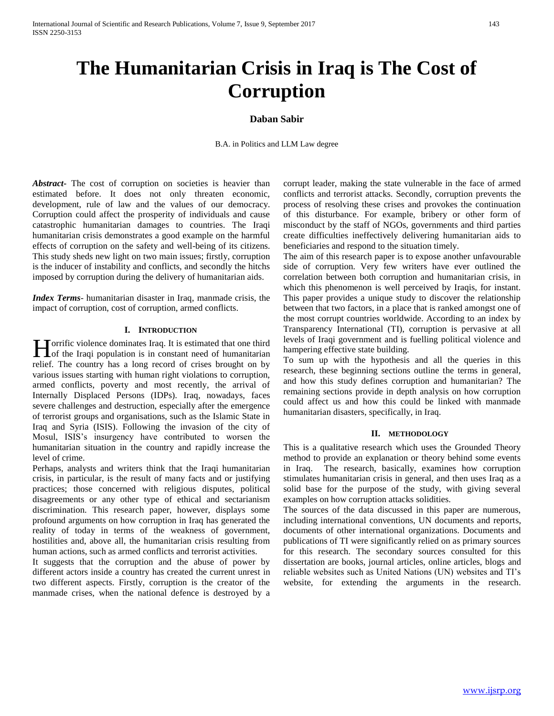# **The Humanitarian Crisis in Iraq is The Cost of Corruption**

## **Daban Sabir**

B.A. in Politics and LLM Law degree

*Abstract***-** The cost of corruption on societies is heavier than estimated before. It does not only threaten economic, development, rule of law and the values of our democracy. Corruption could affect the prosperity of individuals and cause catastrophic humanitarian damages to countries. The Iraqi humanitarian crisis demonstrates a good example on the harmful effects of corruption on the safety and well-being of its citizens. This study sheds new light on two main issues; firstly, corruption is the inducer of instability and conflicts, and secondly the hitchs imposed by corruption during the delivery of humanitarian aids.

*Index Terms*- humanitarian disaster in Iraq, manmade crisis, the impact of corruption, cost of corruption, armed conflicts.

#### **I. INTRODUCTION**

Torrific violence dominates Iraq. It is estimated that one third **Here** is the Iraqi population is in constant need of humanitarian is in constant need of humanitarian relief. The country has a long record of crises brought on by various issues starting with human right violations to corruption, armed conflicts, poverty and most recently, the arrival of Internally Displaced Persons (IDPs). Iraq, nowadays, faces severe challenges and destruction, especially after the emergence of terrorist groups and organisations, such as the Islamic State in Iraq and Syria (ISIS). Following the invasion of the city of Mosul, ISIS's insurgency have contributed to worsen the humanitarian situation in the country and rapidly increase the level of crime.

Perhaps, analysts and writers think that the Iraqi humanitarian crisis, in particular, is the result of many facts and or justifying practices; those concerned with religious disputes, political disagreements or any other type of ethical and sectarianism discrimination. This research paper, however, displays some profound arguments on how corruption in Iraq has generated the reality of today in terms of the weakness of government, hostilities and, above all, the humanitarian crisis resulting from human actions, such as armed conflicts and terrorist activities.

It suggests that the corruption and the abuse of power by different actors inside a country has created the current unrest in two different aspects. Firstly, corruption is the creator of the manmade crises, when the national defence is destroyed by a

corrupt leader, making the state vulnerable in the face of armed conflicts and terrorist attacks. Secondly, corruption prevents the process of resolving these crises and provokes the continuation of this disturbance. For example, bribery or other form of misconduct by the staff of NGOs, governments and third parties create difficulties ineffectively delivering humanitarian aids to beneficiaries and respond to the situation timely.

The aim of this research paper is to expose another unfavourable side of corruption. Very few writers have ever outlined the correlation between both corruption and humanitarian crisis, in which this phenomenon is well perceived by Iraqis, for instant. This paper provides a unique study to discover the relationship between that two factors, in a place that is ranked amongst one of the most corrupt countries worldwide. According to an index by Transparency International (TI), corruption is pervasive at all levels of Iraqi government and is fuelling political violence and hampering effective state building.

To sum up with the hypothesis and all the queries in this research, these beginning sections outline the terms in general, and how this study defines corruption and humanitarian? The remaining sections provide in depth analysis on how corruption could affect us and how this could be linked with manmade humanitarian disasters, specifically, in Iraq.

#### **II. METHODOLOGY**

This is a qualitative research which uses the Grounded Theory method to provide an explanation or theory behind some events in Iraq. The research, basically, examines how corruption stimulates humanitarian crisis in general, and then uses Iraq as a solid base for the purpose of the study, with giving several examples on how corruption attacks solidities.

The sources of the data discussed in this paper are numerous, including international conventions, UN documents and reports, documents of other international organizations. Documents and publications of TI were significantly relied on as primary sources for this research. The secondary sources consulted for this dissertation are books, journal articles, online articles, blogs and reliable websites such as United Nations (UN) websites and TI's website, for extending the arguments in the research.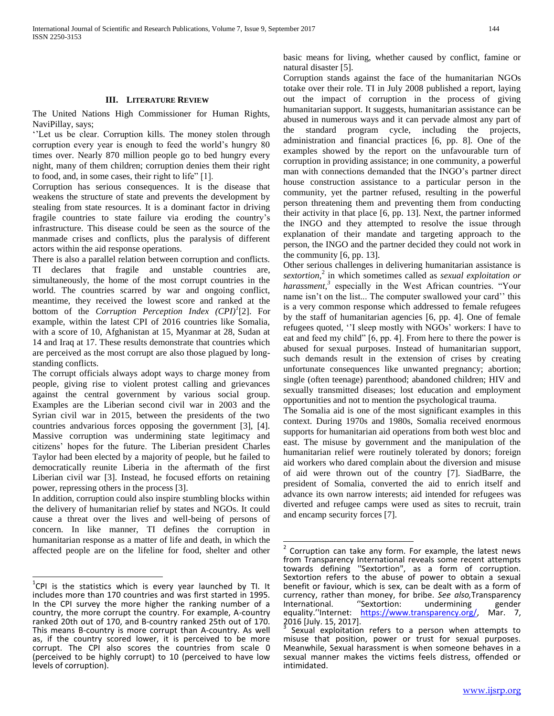#### **III. LITERATURE REVIEW**

The United Nations High Commissioner for Human Rights, NaviPillay, says;

''Let us be clear. Corruption kills. The money stolen through corruption every year is enough to feed the world's hungry 80 times over. Nearly 870 million people go to bed hungry every night, many of them children; corruption denies them their right to food, and, in some cases, their right to life" [1].

Corruption has serious consequences. It is the disease that weakens the structure of state and prevents the development by stealing from state resources. It is a dominant factor in driving fragile countries to state failure via eroding the country's infrastructure. This disease could be seen as the source of the manmade crises and conflicts, plus the paralysis of different actors within the aid response operations.

There is also a parallel relation between corruption and conflicts. TI declares that fragile and unstable countries are, simultaneously, the home of the most corrupt countries in the world. The countries scarred by war and ongoing conflict, meantime, they received the lowest score and ranked at the bottom of the *Corruption Perception Index (CPI)<sup>1</sup>* [2]. For example, within the latest CPI of 2016 countries like Somalia, with a score of 10, Afghanistan at 15, Myanmar at 28, Sudan at 14 and Iraq at 17. These results demonstrate that countries which are perceived as the most corrupt are also those plagued by longstanding conflicts.

The corrupt officials always adopt ways to charge money from people, giving rise to violent protest calling and grievances against the central government by various social group. Examples are the Liberian second civil war in 2003 and the Syrian civil war in 2015, between the presidents of the two countries andvarious forces opposing the government [3], [4]. Massive corruption was undermining state legitimacy and citizens' hopes for the future. The Liberian president Charles Taylor had been elected by a majority of people, but he failed to democratically reunite Liberia in the aftermath of the first Liberian civil war [3]. Instead, he focused efforts on retaining power, repressing others in the process [3].

In addition, corruption could also inspire stumbling blocks within the delivery of humanitarian relief by states and NGOs. It could cause a threat over the lives and well-being of persons of concern. In like manner, TI defines the corruption in humanitarian response as a matter of life and death, in which the affected people are on the lifeline for food, shelter and other basic means for living, whether caused by conflict, famine or natural disaster [5].

Corruption stands against the face of the humanitarian NGOs totake over their role. TI in July 2008 published a report, laying out the impact of corruption in the process of giving humanitarian support. It suggests, humanitarian assistance can be abused in numerous ways and it can pervade almost any part of the standard program cycle, including the projects, administration and financial practices [6, pp. 8]. One of the examples showed by the report on the unfavourable turn of corruption in providing assistance; in one community, a powerful man with connections demanded that the INGO's partner direct house construction assistance to a particular person in the community, yet the partner refused, resulting in the powerful person threatening them and preventing them from conducting their activity in that place [6, pp. 13]. Next, the partner informed the INGO and they attempted to resolve the issue through explanation of their mandate and targeting approach to the person, the INGO and the partner decided they could not work in the community [6, pp. 13].

Other serious challenges in delivering humanitarian assistance is *sextortion*, 2 in which sometimes called as *sexual exploitation or harassment,<sup>3</sup>* especially in the West African countries. "Your name isn't on the list... The computer swallowed your card'' this is a very common response which addressed to female refugees by the staff of humanitarian agencies [6, pp. 4]. One of female refugees quoted, ''I sleep mostly with NGOs' workers: I have to eat and feed my child" [6, pp. 4]. From here to there the power is abused for sexual purposes. Instead of humanitarian support, such demands result in the extension of crises by creating unfortunate consequences like unwanted pregnancy; abortion; single (often teenage) parenthood; abandoned children; HIV and sexually transmitted diseases; lost education and employment opportunities and not to mention the psychological trauma.

The Somalia aid is one of the most significant examples in this context. During 1970s and 1980s, Somalia received enormous supports for humanitarian aid operations from both west bloc and east. The misuse by government and the manipulation of the humanitarian relief were routinely tolerated by donors; foreign aid workers who dared complain about the diversion and misuse of aid were thrown out of the country [7]. SiadBarre, the president of Somalia, converted the aid to enrich itself and advance its own narrow interests; aid intended for refugees was diverted and refugee camps were used as sites to recruit, train and encamp security forces [7].

 $\overline{\phantom{a}}$ 

THE 1988 CONDINED THE 10 THE 10 THE 100 THE 100 THE 100 THE 100 THE 11 THE 100 THE 11 THE 120 THE 11 THE 11 THE 120 THE 11 THE 120 THE 11 THE 120 THE 11 THE 11 THE 120 THE 11 THE 120 THE 120 THE 120 THE 120 THE 120 THE 120 includes more than 170 countries and was first started in 1995. In the CPI survey the more higher the ranking number of a country, the more corrupt the country. For example, A-country ranked 20th out of 170, and B-country ranked 25th out of 170. This means B-country is more corrupt than A-country. As well as, if the country scored lower, it is perceived to be more corrupt. The CPI also scores the countries from scale 0 (perceived to be highly corrupt) to 10 (perceived to have low levels of corruption).

<sup>2</sup> Corruption can take any form. For example, the latest news from Transparency International reveals some recent attempts towards defining ''Sextortion", as a form of corruption. Sextortion refers to the abuse of power to obtain a sexual benefit or faviour, which is sex, can be dealt with as a form of currency, rather than money, for bribe. *See also,*Transparency undermining gender<br> **International**<br> **International**<br> **International** equality.''Internet: https://www.transparency.org/ 2016 [July. 15, 2017].

Sexual exploitation refers to a person when attempts to misuse that position, power or trust for sexual purposes. Meanwhile, Sexual harassment is when someone behaves in a sexual manner makes the victims feels distress, offended or intimidated.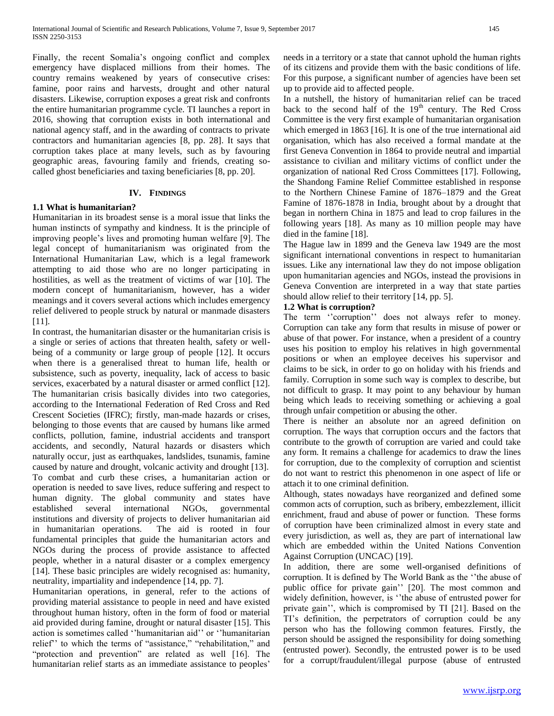Finally, the recent Somalia's ongoing conflict and complex emergency have displaced millions from their homes. The country remains weakened by years of consecutive crises: famine, poor rains and harvests, drought and other natural disasters. Likewise, corruption exposes a great risk and confronts the entire humanitarian programme cycle. TI launches a report in 2016, showing that corruption exists in both international and national agency staff, and in the awarding of contracts to private contractors and humanitarian agencies [8, pp. 28]. It says that corruption takes place at many levels, such as by favouring geographic areas, favouring family and friends, creating socalled ghost beneficiaries and taxing beneficiaries [8, pp. 20].

#### **IV. FINDINGS**

## **1.1 What is humanitarian?**

Humanitarian in its broadest sense is a moral issue that links the human instincts of sympathy and kindness. It is the principle of improving people's lives and promoting human welfare [9]. The legal concept of humanitarianism was originated from the International Humanitarian Law, which is a legal framework attempting to aid those who are no longer participating in hostilities, as well as the treatment of victims of war [10]. The modern concept of humanitarianism, however, has a wider meanings and it covers several actions which includes emergency relief delivered to people struck by natural or manmade disasters [11].

In contrast, the humanitarian disaster or the humanitarian crisis is a single or series of actions that threaten health, safety or wellbeing of a community or large group of people [12]. It occurs when there is a generalised threat to human life, health or subsistence, such as poverty, inequality, lack of access to basic services, exacerbated by a natural disaster or armed conflict [12]. The humanitarian crisis basically divides into two categories, according to the International Federation of Red Cross and Red Crescent Societies (IFRC); firstly, man-made hazards or crises, belonging to those events that are caused by humans like armed conflicts, pollution, famine, industrial accidents and transport accidents, and secondly, Natural hazards or disasters which naturally occur, just as earthquakes, landslides, tsunamis, famine caused by nature and drought, volcanic activity and drought [13]. To combat and curb these crises, a humanitarian action or operation is needed to save lives, reduce suffering and respect to human dignity. The global community and states have established several international NGOs, governmental institutions and diversity of projects to deliver humanitarian aid in humanitarian operations. The aid is rooted in four fundamental principles that guide the humanitarian actors and NGOs during the process of provide assistance to affected people, whether in a natural disaster or a complex emergency [14]. These basic principles are widely recognised as: humanity, neutrality, impartiality and independence [14, pp. 7].

Humanitarian operations, in general, refer to the actions of providing material assistance to people in need and have existed throughout human history, often in the form of food or material aid provided during famine, drought or natural disaster [15]. This action is sometimes called ''humanitarian aid'' or ''humanitarian relief'' to which the terms of "assistance," "rehabilitation," and "protection and prevention" are related as well [16]. The humanitarian relief starts as an immediate assistance to peoples'

needs in a territory or a state that cannot uphold the human rights of its citizens and provide them with the basic conditions of life. For this purpose, a significant number of agencies have been set up to provide aid to affected people.

In a nutshell, the history of humanitarian relief can be traced back to the second half of the  $19<sup>th</sup>$  century. The Red Cross Committee is the very first example of humanitarian organisation which emerged in 1863 [16]. It is one of the true international aid organisation, which has also received a formal mandate at the first Geneva Convention in 1864 to provide neutral and impartial assistance to civilian and military victims of conflict under the organization of national Red Cross Committees [17]. Following, the Shandong Famine Relief Committee established in response to the Northern Chinese Famine of 1876–1879 and the Great Famine of 1876-1878 in India, brought about by a drought that began in northern China in 1875 and lead to crop failures in the following years [18]. As many as 10 million people may have died in the famine [18].

The Hague law in 1899 and the Geneva law 1949 are the most significant international conventions in respect to humanitarian issues. Like any international law they do not impose obligation upon humanitarian agencies and NGOs, instead the provisions in Geneva Convention are interpreted in a way that state parties should allow relief to their territory [14, pp. 5].

## **1.2 What is corruption?**

The term "corruption" does not always refer to money. Corruption can take any form that results in misuse of power or abuse of that power. For instance, when a president of a country uses his position to employ his relatives in high governmental positions or when an employee deceives his supervisor and claims to be sick, in order to go on holiday with his friends and family. Corruption in some such way is complex to describe, but not difficult to grasp. It may point to any behaviour by human being which leads to receiving something or achieving a goal through unfair competition or abusing the other.

There is neither an absolute nor an agreed definition on corruption. The ways that corruption occurs and the factors that contribute to the growth of corruption are varied and could take any form. It remains a challenge for academics to draw the lines for corruption, due to the complexity of corruption and scientist do not want to restrict this phenomenon in one aspect of life or attach it to one criminal definition.

Although, states nowadays have reorganized and defined some common acts of corruption, such as bribery, embezzlement, illicit enrichment, fraud and abuse of power or function. These forms of corruption have been criminalized almost in every state and every jurisdiction, as well as, they are part of international law which are embedded within the United Nations Convention Against Corruption (UNCAC) [19].

In addition, there are some well-organised definitions of corruption. It is defined by The World Bank as the ''the abuse of public office for private gain'' [20]. The most common and widely definition, however, is ''the abuse of entrusted power for private gain'', which is compromised by TI [21]. Based on the TI's definition, the perpetrators of corruption could be any person who has the following common features. Firstly, the person should be assigned the responsibility for doing something (entrusted power). Secondly, the entrusted power is to be used for a corrupt/fraudulent/illegal purpose (abuse of entrusted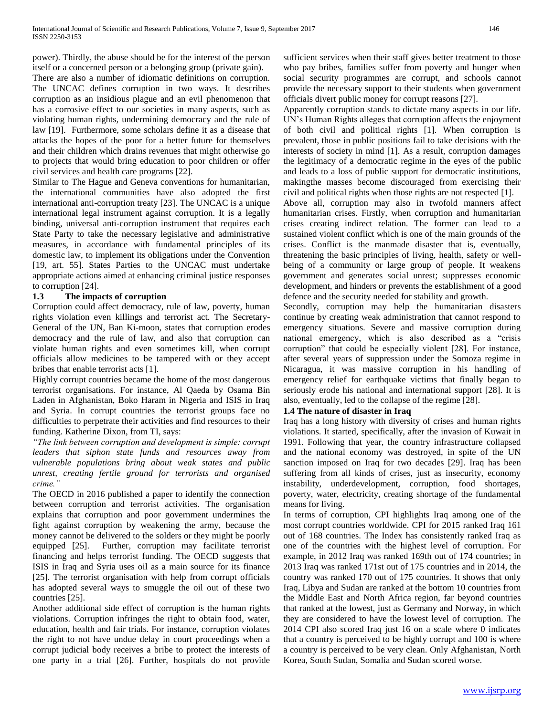power). Thirdly, the abuse should be for the interest of the person itself or a concerned person or a belonging group (private gain).

There are also a number of idiomatic definitions on corruption. The UNCAC defines corruption in two ways. It describes corruption as an insidious plague and an evil phenomenon that has a corrosive effect to our societies in many aspects, such as violating human rights, undermining democracy and the rule of law [19]. Furthermore, some scholars define it as a disease that attacks the hopes of the poor for a better future for themselves and their children which drains revenues that might otherwise go to projects that would bring education to poor children or offer civil services and health care programs [22].

Similar to The Hague and Geneva conventions for humanitarian, the international communities have also adopted the first international anti-corruption treaty [23]. The UNCAC is a unique international legal instrument against corruption. It is a legally binding, universal anti-corruption instrument that requires each State Party to take the necessary legislative and administrative measures, in accordance with fundamental principles of its domestic law, to implement its obligations under the Convention [19, art. 55]. States Parties to the UNCAC must undertake appropriate actions aimed at enhancing criminal justice responses to corruption [24].

## **1.3 The impacts of corruption**

Corruption could affect democracy, rule of law, poverty, human rights violation even killings and terrorist act. The Secretary-General of the UN, Ban Ki-moon, states that corruption erodes democracy and the rule of law, and also that corruption can violate human rights and even sometimes kill, when corrupt officials allow medicines to be tampered with or they accept bribes that enable terrorist acts [1].

Highly corrupt countries became the home of the most dangerous terrorist organisations. For instance, Al Qaeda by Osama Bin Laden in Afghanistan, Boko Haram in Nigeria and ISIS in Iraq and Syria. In corrupt countries the terrorist groups face no difficulties to perpetrate their activities and find resources to their funding. Katherine Dixon, from TI, says:

*"The link between corruption and development is simple: corrupt leaders that siphon state funds and resources away from vulnerable populations bring about weak states and public unrest, creating fertile ground for terrorists and organised crime."*

The OECD in 2016 published a paper to identify the connection between corruption and terrorist activities. The organisation explains that corruption and poor government undermines the fight against corruption by weakening the army, because the money cannot be delivered to the solders or they might be poorly equipped [25]. Further, corruption may facilitate terrorist financing and helps terrorist funding. The OECD suggests that ISIS in Iraq and Syria uses oil as a main source for its finance [25]. The terrorist organisation with help from corrupt officials has adopted several ways to smuggle the oil out of these two countries [25].

Another additional side effect of corruption is the human rights violations. Corruption infringes the right to obtain food, water, education, health and fair trials. For instance, corruption violates the right to not have undue delay in court proceedings when a corrupt judicial body receives a bribe to protect the interests of one party in a trial [26]. Further, hospitals do not provide

sufficient services when their staff gives better treatment to those who pay bribes, families suffer from poverty and hunger when social security programmes are corrupt, and schools cannot provide the necessary support to their students when government officials divert public money for corrupt reasons [27].

Apparently corruption stands to dictate many aspects in our life. UN's Human Rights alleges that corruption affects the enjoyment of both civil and political rights [1]. When corruption is prevalent, those in public positions fail to take decisions with the interests of society in mind [1]. As a result, corruption damages the legitimacy of a democratic regime in the eyes of the public and leads to a loss of public support for democratic institutions, makingthe masses become discouraged from exercising their civil and political rights when those rights are not respected [1].

Above all, corruption may also in twofold manners affect humanitarian crises. Firstly, when corruption and humanitarian crises creating indirect relation. The former can lead to a sustained violent conflict which is one of the main grounds of the crises. Conflict is the manmade disaster that is, eventually, threatening the basic principles of living, health, safety or wellbeing of a community or large group of people. It weakens government and generates social unrest; suppresses economic development, and hinders or prevents the establishment of a good defence and the security needed for stability and growth.

Secondly, corruption may help the humanitarian disasters continue by creating weak administration that cannot respond to emergency situations. Severe and massive corruption during national emergency, which is also described as a "crisis corruption" that could be especially violent [28]. For instance, after several years of suppression under the Somoza regime in Nicaragua, it was massive corruption in his handling of emergency relief for earthquake victims that finally began to seriously erode his national and international support [28]. It is also, eventually, led to the collapse of the regime [28].

## **1.4 The nature of disaster in Iraq**

Iraq has a long history with diversity of crises and human rights violations. It started, specifically, after the invasion of Kuwait in 1991. Following that year, the country infrastructure collapsed and the national economy was destroyed, in spite of the UN sanction imposed on Iraq for two decades [29]. Iraq has been suffering from all kinds of crises, just as insecurity, economy instability, underdevelopment, corruption, food shortages, poverty, water, electricity, creating shortage of the fundamental means for living.

In terms of corruption, CPI highlights Iraq among one of the most corrupt countries worldwide. CPI for 2015 ranked Iraq 161 out of 168 countries. The Index has consistently ranked Iraq as one of the countries with the highest level of corruption. For example, in 2012 Iraq was ranked 169th out of 174 countries; in 2013 Iraq was ranked 171st out of 175 countries and in 2014, the country was ranked 170 out of 175 countries. It shows that only Iraq, Libya and Sudan are ranked at the bottom 10 countries from the Middle East and North Africa region, far beyond countries that ranked at the lowest, just as Germany and Norway, in which they are considered to have the lowest level of corruption. The 2014 CPI also scored Iraq just 16 on a scale where 0 indicates that a country is perceived to be highly corrupt and 100 is where a country is perceived to be very clean. Only Afghanistan, North Korea, South Sudan, Somalia and Sudan scored worse.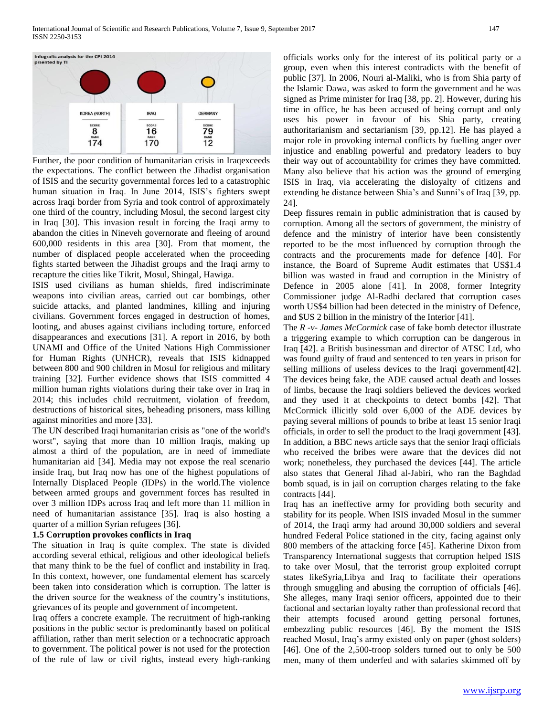

Further, the poor condition of humanitarian crisis in Iraqexceeds the expectations. The conflict between the Jihadist organisation of ISIS and the security governmental forces led to a catastrophic human situation in Iraq. In June 2014, ISIS's fighters swept across Iraqi border from Syria and took control of approximately one third of the country, including Mosul, the second largest city in Iraq [30]. This invasion result in forcing the Iraqi army to abandon the cities in Nineveh governorate and fleeing of around 600,000 residents in this area [30]. From that moment, the number of displaced people accelerated when the proceeding fights started between the Jihadist groups and the Iraqi army to recapture the cities like Tikrit, Mosul, Shingal, Hawiga.

ISIS used civilians as human shields, fired indiscriminate weapons into civilian areas, carried out car bombings, other suicide attacks, and planted landmines, killing and injuring civilians. Government forces engaged in destruction of homes, looting, and abuses against civilians including torture, enforced disappearances and executions [31]. A report in 2016, by both UNAMI and Office of the United Nations High Commissioner for Human Rights (UNHCR), reveals that ISIS kidnapped between 800 and 900 children in Mosul for religious and military training [32]. Further evidence shows that ISIS committed 4 million human rights violations during their take over in Iraq in 2014; this includes child recruitment, violation of freedom, destructions of historical sites, beheading prisoners, mass killing against minorities and more [33].

The UN described Iraqi humanitarian crisis as "one of the world's worst", saying that more than 10 million Iraqis, making up almost a third of the population, are in need of immediate humanitarian aid [34]. Media may not expose the real scenario inside Iraq, but Iraq now has one of the highest populations of Internally Displaced People (IDPs) in the world.The violence between armed groups and government forces has resulted in over 3 million IDPs across Iraq and left more than 11 million in need of humanitarian assistance [35]. Iraq is also hosting a quarter of a million Syrian refugees [36].

#### **1.5 Corruption provokes conflicts in Iraq**

The situation in Iraq is quite complex. The state is divided according several ethical, religious and other ideological beliefs that many think to be the fuel of conflict and instability in Iraq. In this context, however, one fundamental element has scarcely been taken into consideration which is corruption. The latter is the driven source for the weakness of the country's institutions, grievances of its people and government of incompetent.

Iraq offers a concrete example. The recruitment of high-ranking positions in the public sector is predominantly based on political affiliation, rather than merit selection or a technocratic approach to government. The political power is not used for the protection of the rule of law or civil rights, instead every high-ranking officials works only for the interest of its political party or a group, even when this interest contradicts with the benefit of public [37]. In 2006, Nouri al-Maliki, who is from Shia party of the Islamic Dawa, was asked to form the government and he was signed as Prime minister for Iraq [38, pp. 2]. However, during his time in office, he has been accused of being corrupt and only uses his power in favour of his Shia party, creating authoritarianism and sectarianism [39, pp.12]. He has played a major role in provoking internal conflicts by fuelling anger over injustice and enabling powerful and predatory leaders to buy their way out of accountability for crimes they have committed. Many also believe that his action was the ground of emerging ISIS in Iraq, via accelerating the disloyalty of citizens and extending he distance between Shia's and Sunni's of Iraq [39, pp. 24].

Deep fissures remain in public administration that is caused by corruption. Among all the sectors of government, the ministry of defence and the ministry of interior have been consistently reported to be the most influenced by corruption through the contracts and the procurements made for defence [40]. For instance, the Board of Supreme Audit estimates that US\$1.4 billion was wasted in fraud and corruption in the Ministry of Defence in 2005 alone [41]. In 2008, former Integrity Commissioner judge Al-Radhi declared that corruption cases worth US\$4 billion had been detected in the ministry of Defence, and \$US 2 billion in the ministry of the Interior [41].

The *R -v- James McCormick* case of fake bomb detector illustrate a triggering example to which corruption can be dangerous in Iraq [42]. a British businessman and director of ATSC Ltd, who was found guilty of fraud and sentenced to ten years in prison for selling millions of useless devices to the Iraqi government[42]. The devices being fake, the ADE caused actual death and losses of limbs, because the Iraqi soldiers believed the devices worked and they used it at checkpoints to detect bombs [42]. That McCormick illicitly sold over 6,000 of the ADE devices by paying several millions of pounds to bribe at least 15 senior Iraqi officials, in order to sell the product to the Iraqi government [43]. In addition, a BBC news article says that the senior Iraqi officials who received the bribes were aware that the devices did not work; nonetheless, they purchased the devices [44]. The article also states that General Jihad al-Jabiri, who ran the Baghdad bomb squad, is in jail on corruption charges relating to the fake contracts [44].

Iraq has an ineffective army for providing both security and stability for its people. When ISIS invaded Mosul in the summer of 2014, the Iraqi army had around 30,000 soldiers and several hundred Federal Police stationed in the city, facing against only 800 members of the attacking force [45]. Katherine Dixon from Transparency International suggests that corruption helped ISIS to take over Mosul, that the terrorist group exploited corrupt states likeSyria,Libya and Iraq to facilitate their operations through smuggling and abusing the corruption of officials [46]. She alleges, many Iraqi senior officers, appointed due to their factional and sectarian loyalty rather than professional record that their attempts focused around getting personal fortunes, embezzling public resources [46]. By the moment the ISIS reached Mosul, Iraq's army existed only on paper (ghost solders) [46]. One of the 2,500-troop solders turned out to only be 500 men, many of them underfed and with salaries skimmed off by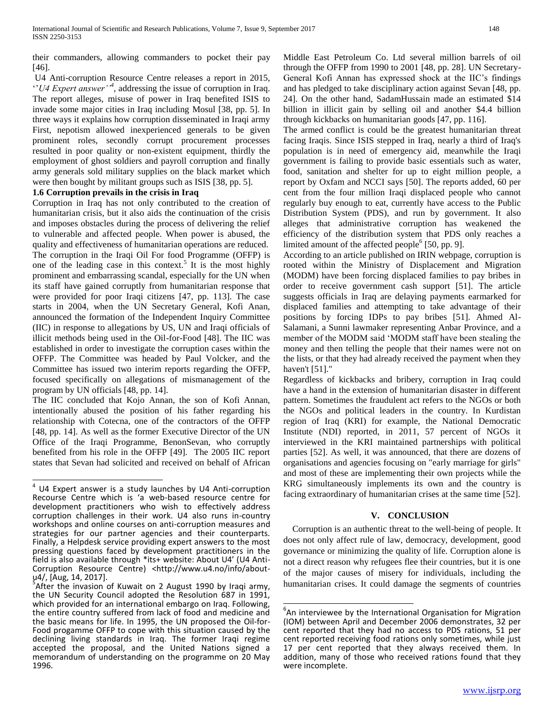their commanders, allowing commanders to pocket their pay [46].

U4 Anti-corruption Resource Centre releases a report in 2015, ''*U4 Expert answer''<sup>4</sup>* , addressing the issue of corruption in Iraq. The report alleges, misuse of power in Iraq benefited ISIS to invade some major cities in Iraq including Mosul [38, pp. 5]. In three ways it explains how corruption disseminated in Iraqi army First, nepotism allowed inexperienced generals to be given prominent roles, secondly corrupt procurement processes resulted in poor quality or non-existent equipment, thirdly the employment of ghost soldiers and payroll corruption and finally army generals sold military supplies on the black market which were then bought by militant groups such as ISIS [38, pp. 5].

### **1.6 Corruption prevails in the crisis in Iraq**

Corruption in Iraq has not only contributed to the creation of humanitarian crisis, but it also aids the continuation of the crisis and imposes obstacles during the process of delivering the relief to vulnerable and affected people. When power is abused, the quality and effectiveness of humanitarian operations are reduced. The corruption in the Iraqi Oil For food Programme (OFFP) is one of the leading case in this context.<sup>5</sup> It is the most highly prominent and embarrassing scandal, especially for the UN when its staff have gained corruptly from humanitarian response that were provided for poor Iraqi citizens [47, pp. 113]. The case starts in 2004, when the UN Secretary General, Kofi Anan, announced the formation of the Independent Inquiry Committee (IIC) in response to allegations by US, UN and Iraqi officials of illicit methods being used in the Oil-for-Food [48]. The IIC was established in order to investigate the corruption cases within the OFFP. The Committee was headed by Paul Volcker, and the Committee has issued two interim reports regarding the OFFP, focused specifically on allegations of mismanagement of the program by UN officials [48, pp. 14].

The IIC concluded that Kojo Annan, the son of Kofi Annan, intentionally abused the position of his father regarding his relationship with Cotecna, one of the contractors of the OFFP [48, pp. 14]. As well as the former Executive Director of the UN Office of the Iraqi Programme, BenonSevan, who corruptly benefited from his role in the OFFP [49]. The 2005 IIC report states that Sevan had solicited and received on behalf of African

Middle East Petroleum Co. Ltd several million barrels of oil through the OFFP from 1990 to 2001 [48, pp. 28]. UN Secretary-General Kofi Annan has expressed shock at the IIC's findings and has pledged to take disciplinary action against Sevan [48, pp. 24]. On the other hand, SadamHussain made an estimated \$14 billion in illicit gain by selling oil and another \$4.4 billion through kickbacks on humanitarian goods [47, pp. 116].

The armed conflict is could be the greatest humanitarian threat facing Iraqis. Since ISIS stepped in Iraq, nearly a third of Iraq's population is in need of emergency aid, meanwhile the Iraqi government is failing to provide basic essentials such as water, food, sanitation and shelter for up to eight million people, a report by Oxfam and NCCI says [50]. The reports added, 60 per cent from the four million Iraqi displaced people who cannot regularly buy enough to eat, currently have access to the Public Distribution System (PDS), and run by government. It also alleges that administrative corruption has weakened the efficiency of the distribution system that PDS only reaches a limited amount of the affected people<sup>6</sup> [50, pp. 9].

According to an article published on IRIN webpage, corruption is rooted within the Ministry of Displacement and Migration (MODM) have been forcing displaced families to pay bribes in order to receive government cash support [51]. The article suggests officials in Iraq are delaying payments earmarked for displaced families and attempting to take advantage of their positions by forcing IDPs to pay bribes [51]. Ahmed Al-Salamani, a Sunni lawmaker representing Anbar Province, and a member of the MODM said 'MODM staff have been stealing the money and then telling the people that their names were not on the lists, or that they had already received the payment when they haven't [51]."

Regardless of kickbacks and bribery, corruption in Iraq could have a hand in the extension of humanitarian disaster in different pattern. Sometimes the fraudulent act refers to the NGOs or both the NGOs and political leaders in the country. In Kurdistan region of Iraq (KRI) for example, the National Democratic Institute (NDI) reported, in 2011, 57 percent of NGOs it interviewed in the KRI maintained partnerships with political parties [52]. As well, it was announced, that there are dozens of organisations and agencies focusing on "early marriage for girls" and most of these are implementing their own projects while the KRG simultaneously implements its own and the country is facing extraordinary of humanitarian crises at the same time [52].

#### **V. CONCLUSION**

Corruption is an authentic threat to the well-being of people. It does not only affect rule of law, democracy, development, good governance or minimizing the quality of life. Corruption alone is not a direct reason why refugees flee their countries, but it is one of the major causes of misery for individuals, including the humanitarian crises. It could damage the segments of countries

 4 U4 Expert answer is a study launches by U4 Anti-corruption Recourse Centre which is 'a web-based resource centre for development practitioners who wish to effectively address corruption challenges in their work. U4 also runs in-country workshops and online courses on anti-corruption measures and strategies for our partner agencies and their counterparts. Finally, a Helpdesk service providing expert answers to the most pressing questions faced by development practitioners in the field is also available through \*its+ website: About U4' (U4 Anti-Corruption Resource Centre) <http://www.u4.no/info/about-

u4/, [Aug, 14, 2017].<br><sup>5</sup>After the invasion of Kuwait on 2 August 1990 by Iraqi army, the UN Security Council adopted the Resolution 687 in 1991, which provided for an international embargo on Iraq. Following, the entire country suffered from lack of food and medicine and the basic means for life. In 1995, the UN proposed the Oil-for-Food progamme OFFP to cope with this situation caused by the declining living standards in Iraq. The former Iraqi regime accepted the proposal, and the United Nations signed a memorandum of understanding on the programme on 20 May 1996.

 $\overline{\phantom{a}}$  ${}^{6}$ An interviewee by the International Organisation for Migration (IOM) between April and December 2006 demonstrates, 32 per cent reported that they had no access to PDS rations, 51 per cent reported receiving food rations only sometimes, while just 17 per cent reported that they always received them. In addition, many of those who received rations found that they were incomplete.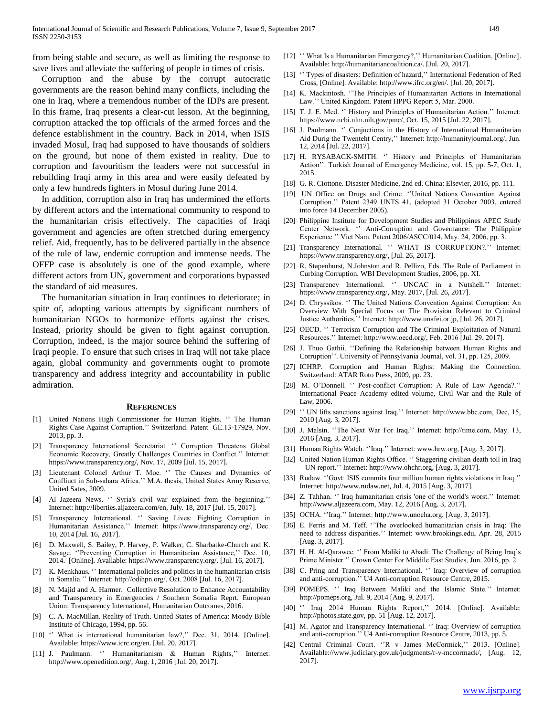from being stable and secure, as well as limiting the response to save lives and alleviate the suffering of people in times of crisis.

Corruption and the abuse by the corrupt autocratic governments are the reason behind many conflicts, including the one in Iraq, where a tremendous number of the IDPs are present. In this frame, Iraq presents a clear-cut lesson. At the beginning, corruption attacked the top officials of the armed forces and the defence establishment in the country. Back in 2014, when ISIS invaded Mosul, Iraq had supposed to have thousands of soldiers on the ground, but none of them existed in reality. Due to corruption and favouritism the leaders were not successful in rebuilding Iraqi army in this area and were easily defeated by only a few hundreds fighters in Mosul during June 2014.

In addition, corruption also in Iraq has undermined the efforts by different actors and the international community to respond to the humanitarian crisis effectively. The capacities of Iraqi government and agencies are often stretched during emergency relief. Aid, frequently, has to be delivered partially in the absence of the rule of law, endemic corruption and immense needs. The OFFP case is absolutely is one of the good example, where different actors from UN, government and corporations bypassed the standard of aid measures.

The humanitarian situation in Iraq continues to deteriorate; in spite of, adopting various attempts by significant numbers of humanitarian NGOs to harmonize efforts against the crises. Instead, priority should be given to fight against corruption. Corruption, indeed, is the major source behind the suffering of Iraqi people. To ensure that such crises in Iraq will not take place again, global community and governments ought to promote transparency and address integrity and accountability in public admiration.

#### **REFERENCES**

- [1] United Nations High Commissioner for Human Rights. '' The Human Rights Case Against Corruption.'' Switzerland. Patent GE.13-17929, Nov. 2013, pp. 3.
- [2] Transparency International Secretariat. '' Corruption Threatens Global Economic Recovery, Greatly Challenges Countries in Conflict.'' Internet: https://www.transparency.org/, Nov. 17, 2009 [Jul. 15, 2017].
- [3] Lieutenant Colonel Arthur T. Moe. '' The Causes and Dynamics of Confliuct in Sub-sahara Africa.'' M.A. thesis, United States Army Reserve, United Sates, 2009.
- [4] Al Jazeera News. '' Syria's civil war explained from the beginning.'' Internet: http://liberties.aljazeera.com/en, July. 18, 2017 [Jul. 15, 2017].
- [5] Transparency International. '' Saving Lives: Fighting Corruption in Humanitarian Assistance.'' Internet: https://www.transparency.org/, Dec. 10, 2014 [Jul. 16, 2017].
- [6] D. Maxwell, S. Bailey, P. Harvey, P. Walker, C. Sharbatke-Church and K. Savage. ''Preventing Corruption in Humanitarian Assistance,'' Dec. 10, 2014. [Online]. Available: https://www.transparency.org/. [Jul. 16, 2017].
- [7] K. Menkhaus. '' International policies and politics in the humanitarian crisis in Somalia.'' Internet: http://odihpn.org/, Oct. 2008 [Jul. 16, 2017].
- [8] N. Majid and A. Harmer. Collective Resolution to Enhance Accountability and Transparency in Emergencies / Southern Somalia Reprt. European Union: Transparency International, Humanitarian Outcomes, 2016.
- [9] C. A. MacMillan. Reality of Truth. United States of America: Moody Bible Institute of Chicago, 1994, pp. 56.
- [10] " What is international humanitarian law?," Dec. 31, 2014. [Online]. Available: https://www.icrc.org/en. [Jul. 20, 2017].
- [11] J. Paulmann. '' Humanitarianism & Human Rights,'' Internet: http://www.openedition.org/, Aug. 1, 2016 [Jul. 20, 2017].
- [12] "What Is a Humanitarian Emergency?," Humanitarian Coalition, [Online]. Available: http://humanitariancoalition.ca/. [Jul. 20, 2017].
- [13] " Types of disasters: Definition of hazard," International Federation of Red Cross, [Online]. Available: http://www.ifrc.org/en/. [Jul. 20, 2017].
- [14] K. Mackintosh. "The Principles of Humanitarian Actions in International Law.'' United Kingdom. Patent HPPG Report 5, Mar. 2000.
- [15] T. J. E. Med. " History and Principles of Humanitarian Action." Internet: https://www.ncbi.nlm.nih.gov/pmc/, Oct. 15, 2015 [Jul. 22, 2017].
- [16] J. Paulmann. '' Conjuctions in the History of International Humanitarian Aid Durig the Twenteht Centry,'' Internet: http://humanityjournal.org/, Jun. 12, 2014 [Jul. 22, 2017].
- [17] H. RYSABACK-SMITH. " History and Principles of Humanitarian Action''. Turkish Journal of Emergency Medicine, vol. 15, pp. 5-7, Oct. 1, 2015.
- [18] G. R. Ciottone. Disaster Medicine, 2nd ed. China: Elsevier, 2016, pp. 111.
- [19] UN Office on Drugs and Crime .''United Nations Convention Against Corruption.'' Patent 2349 UNTS 41, (adopted 31 October 2003, entered into force 14 December 2005).
- [20] Philippine Institute for Development Studies and Philippines APEC Study Center Network. '' Anti-Corruption and Governance: The Philippine Experience.'' Viet Nam. Patent 2006/ASCC/014, May. 24, 2006, pp. 3.
- [21] Transparency International. " WHAT IS CORRUPTION?." Internet: https://www.transparency.org/, [Jul. 26, 2017].
- [22] R. Stapenhurst, N.Johnston and R. Pellizo, Eds. The Role of Parliament in Curbing Corruption. WBI Development Studies, 2006, pp. XI.
- [23] Transparency International. " UNCAC in a Nutshell." Internet: https://www.transparency.org/, May. 2017, [Jul. 26, 2017].
- [24] D. Chryssikos. '' The United Nations Convention Against Corruption: An Overview With Special Focus on The Provision Relevant to Criminal Justice Authorities.'' Internet: http://www.unafei.or.jp, [Jul. 26, 2017].
- [25] OECD. " Terrorism Corruption and The Criminal Exploitation of Natural Resources.'' Internet: http://www.oecd.org/, Feb. 2016 [Jul. 29, 2017].
- [26] J. Thuo Gathii. ''Defining the Relationship between Human Rights and Corruption''. University of Pennsylvania Journal, vol. 31, pp. 125, 2009.
- [27] ICHRP. Corruption and Human Rights: Making the Connection. Switzerland: ATAR Roto Press, 2009, pp. 23.
- [28] M. O'Donnell. " Post-conflict Corruption: A Rule of Law Agenda?." International Peace Academy edited volume, Civil War and the Rule of Law, 2006.
- [29] '' UN lifts sanctions against Iraq.'' Internet: http://www.bbc.com, Dec, 15, 2010 [Aug. 3, 2017].
- [30] J. Malsin. ''The Next War For Iraq.'' Internet: http://time.com, May. 13, 2016 [Aug. 3, 2017].
- [31] Human Rights Watch. ''Iraq.'' Internet: www.hrw.org, [Aug. 3, 2017].
- [32] United Nation Human Rights Office. " Staggering civilian death toll in Iraq – UN report.'' Internet: http://www.ohchr.org, [Aug. 3, 2017].
- [33] Rudaw. ''Govt: ISIS commits four million human rights violations in Iraq.'' Internet: http://www.rudaw.net, Jul. 4, 2015 [Aug. 3, 2017].
- [34] Z. Tahhan. " Iraq humanitarian crisis 'one of the world's worst." Internet: http://www.aljazeera.com, May. 12, 2016 [Aug. 3, 2017].
- [35] OCHA. ''Iraq.'' Internet: http://www.unocha.org, [Aug. 3, 2017].
- [36] E. Ferris and M. Teff. "The overlooked humanitarian crisis in Iraq: The need to address disparities.'' Internet: www.brookings.edu, Apr. 28, 2015 [Aug. 3, 2017].
- [37] H. H. Al-Qarawee. '' From Maliki to Abadi: The Challenge of Being Iraq's Prime Minister.'' Crown Center For Middile East Studies, Jun. 2016, pp. 2.
- [38] C. Pring and Transparency International. " Iraq: Overview of corruption and anti-corruption.'' U4 Anti-corruption Resource Centre, 2015.
- [39] POMEPS. '' Iraq Between Maliki and the Islamic State.'' Internet: http://pomeps.org, Jul. 9, 2014 [Aug. 9, 2017].
- [40] " Iraq 2014 Human Rights Report," 2014. [Online]. Available: http://photos.state.gov, pp. 51 [Aug. 12, 2017].
- [41] M. Agator and Transparency International. '' Iraq: Overview of corruption and anti-corruption.'' U4 Anti-corruption Resource Centre, 2013, pp. 5.
- [42] Central Criminal Court. "R v James McCormick," 2013. [Online]. Available://www.judiciary.gov.uk/judgments/r-v-mccormack/, [Aug. 12, 2017].